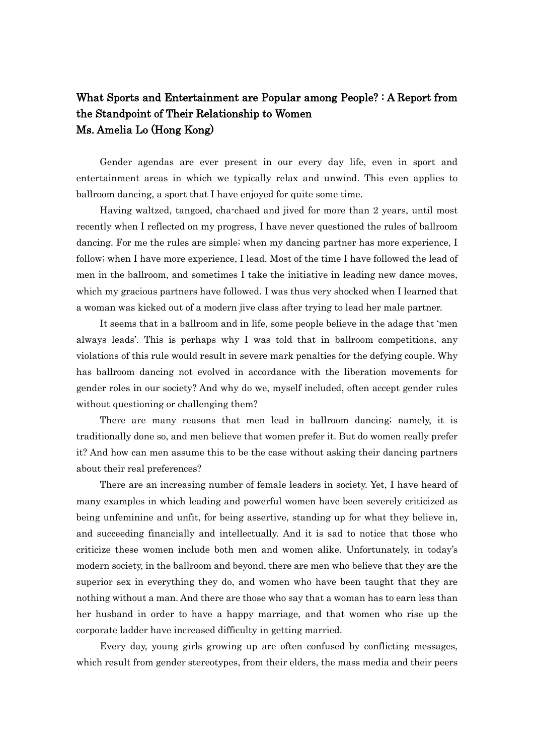## What Sports and Entertainment are Popular among People? : A Report from the Standpoint of Their Relationship to Women Ms. Amelia Lo (Hong Kong)

Gender agendas are ever present in our every day life, even in sport and entertainment areas in which we typically relax and unwind. This even applies to ballroom dancing, a sport that I have enjoyed for quite some time.

Having waltzed, tangoed, cha-chaed and jived for more than 2 years, until most recently when I reflected on my progress, I have never questioned the rules of ballroom dancing. For me the rules are simple; when my dancing partner has more experience, I follow; when I have more experience, I lead. Most of the time I have followed the lead of men in the ballroom, and sometimes I take the initiative in leading new dance moves, which my gracious partners have followed. I was thus very shocked when I learned that a woman was kicked out of a modern jive class after trying to lead her male partner.

It seems that in a ballroom and in life, some people believe in the adage that 'men always leads'. This is perhaps why I was told that in ballroom competitions, any violations of this rule would result in severe mark penalties for the defying couple. Why has ballroom dancing not evolved in accordance with the liberation movements for gender roles in our society? And why do we, myself included, often accept gender rules without questioning or challenging them?

There are many reasons that men lead in ballroom dancing; namely, it is traditionally done so, and men believe that women prefer it. But do women really prefer it? And how can men assume this to be the case without asking their dancing partners about their real preferences?

There are an increasing number of female leaders in society. Yet, I have heard of many examples in which leading and powerful women have been severely criticized as being unfeminine and unfit, for being assertive, standing up for what they believe in, and succeeding financially and intellectually. And it is sad to notice that those who criticize these women include both men and women alike. Unfortunately, in today's modern society, in the ballroom and beyond, there are men who believe that they are the superior sex in everything they do, and women who have been taught that they are nothing without a man. And there are those who say that a woman has to earn less than her husband in order to have a happy marriage, and that women who rise up the corporate ladder have increased difficulty in getting married.

Every day, young girls growing up are often confused by conflicting messages, which result from gender stereotypes, from their elders, the mass media and their peers